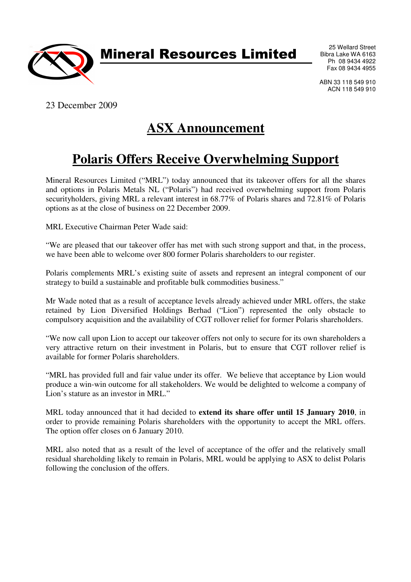

Mineral Resources Limited

25 Wellard Street Bibra Lake WA 6163 Ph 08 9434 4922 Fax 08 9434 4955

ABN 33 118 549 910 ACN 118 549 910

23 December 2009

## **ASX Announcement**

## **Polaris Offers Receive Overwhelming Support**

Mineral Resources Limited ("MRL") today announced that its takeover offers for all the shares and options in Polaris Metals NL ("Polaris") had received overwhelming support from Polaris securityholders, giving MRL a relevant interest in 68.77% of Polaris shares and 72.81% of Polaris options as at the close of business on 22 December 2009.

MRL Executive Chairman Peter Wade said:

"We are pleased that our takeover offer has met with such strong support and that, in the process, we have been able to welcome over 800 former Polaris shareholders to our register.

Polaris complements MRL's existing suite of assets and represent an integral component of our strategy to build a sustainable and profitable bulk commodities business."

Mr Wade noted that as a result of acceptance levels already achieved under MRL offers, the stake retained by Lion Diversified Holdings Berhad ("Lion") represented the only obstacle to compulsory acquisition and the availability of CGT rollover relief for former Polaris shareholders.

"We now call upon Lion to accept our takeover offers not only to secure for its own shareholders a very attractive return on their investment in Polaris, but to ensure that CGT rollover relief is available for former Polaris shareholders.

"MRL has provided full and fair value under its offer. We believe that acceptance by Lion would produce a win-win outcome for all stakeholders. We would be delighted to welcome a company of Lion's stature as an investor in MRL."

MRL today announced that it had decided to **extend its share offer until 15 January 2010**, in order to provide remaining Polaris shareholders with the opportunity to accept the MRL offers. The option offer closes on 6 January 2010.

MRL also noted that as a result of the level of acceptance of the offer and the relatively small residual shareholding likely to remain in Polaris, MRL would be applying to ASX to delist Polaris following the conclusion of the offers.